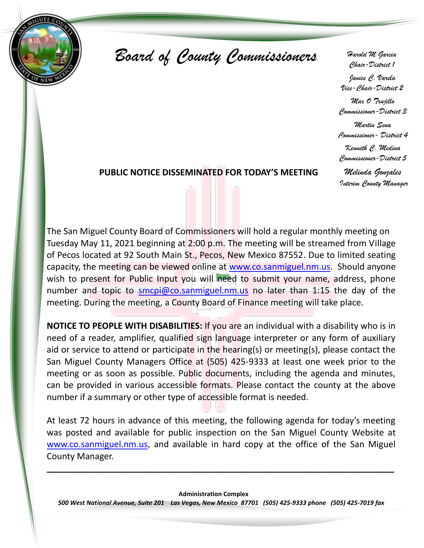

*Board of County Commissioners Harold M Garcia*

*Chair-District 1*

*Janice C. Varela Vice-Chair-District 2*

*Max O Trujillo Commissioner-District 3*

*Martin Sena Commissioner- District 4 Kenneth C. Medina Commissioner-District 5*

### **PUBLIC NOTICE DISSEMINATED FOR TODAY'S MEETING**

*Melinda Gonzales Interim County Manager*

The San Miguel County Board of Commissioners will hold a regular monthly meeting on Tuesday May 11, 2021 beginning at 2:00 p.m. The meeting will be streamed from Village of Pecos located at 92 South Main St., Pecos, New Mexico 87552. Due to limited seating capacity, the meeting can be viewed online at [www.co.sanmiguel.nm.us.](http://www.co.sanmiguel.nm.us/) Should anyone wish to present for Public Input you will need to submit your name, address, phone number and topic to [smcpi@co.sanmiguel.nm.us](mailto:smcpi@co.sanmiguel.nm.us) no later than 1:15 the day of the meeting. During the meeting, a County Board of Finance meeting will take place.

**NOTICE TO PEOPLE WITH DISABILITIES:** If you are an individual with a disability who is in need of a reader, amplifier, qualified sign language interpreter or any form of auxiliary aid or service to attend or participate in the hearing(s) or meeting(s), please contact the San Miguel County Managers Office at (505) 425-9333 at least one week prior to the meeting or as soon as possible. Public documents, including the agenda and minutes, can be provided in various accessible formats. Please contact the county at the above number if a summary or other type of accessible format is needed.

At least 72 hours in advance of this meeting, the following agenda for today's meeting was posted and available for public inspection on the San Miguel County Website at [www.co.sanmiguel.nm.us,](file:///H:/2018/8-14-18%20Reg%20Meeting/AppData/Local/Microsoft/Windows/INetCache/IE/9-11-2017%20Regular%20Meeting/www.co.sanmiguel.nm.us) and available in hard copy at the office of the San Miguel County Manager.

**\_\_\_\_\_\_\_\_\_\_\_\_\_\_\_\_\_\_\_\_\_\_\_\_\_\_\_\_\_\_\_\_\_\_\_\_\_\_\_\_\_\_\_\_\_\_\_\_\_\_\_\_\_\_\_\_\_\_\_\_\_\_\_\_\_\_\_\_\_\_\_\_**

**Administration Complex**

*500 West National Avenue, Suite 201 Las Vegas, New Mexico 87701 (505) 425-9333 phone (505) 425-7019 fax*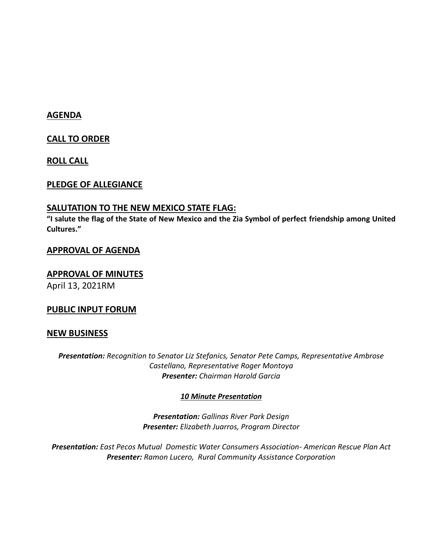# **AGENDA**

**CALL TO ORDER**

**ROLL CALL**

# **PLEDGE OF ALLEGIANCE**

# **SALUTATION TO THE NEW MEXICO STATE FLAG:**

**"I salute the flag of the State of New Mexico and the Zia Symbol of perfect friendship among United Cultures."**

# **APPROVAL OF AGENDA**

# **APPROVAL OF MINUTES**

April 13, 2021RM

# **PUBLIC INPUT FORUM**

# **NEW BUSINESS**

*Presentation: Recognition to Senator Liz Stefanics, Senator Pete Camps, Representative Ambrose Castellano, Representative Roger Montoya Presenter: Chairman Harold Garcia*

# *10 Minute Presentation*

*Presentation: Gallinas River Park Design Presenter: Elizabeth Juarros, Program Director*

*Presentation: East Pecos Mutual Domestic Water Consumers Association- American Rescue Plan Act Presenter: Ramon Lucero, Rural Community Assistance Corporation*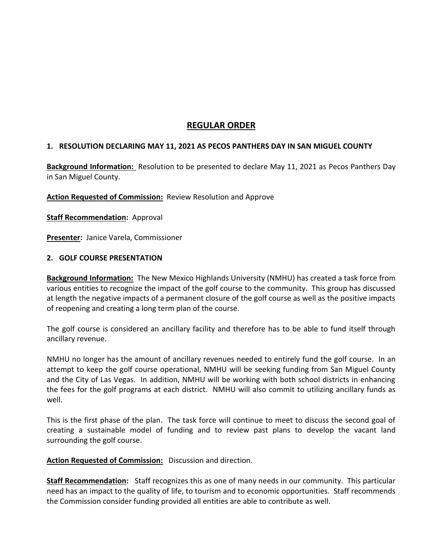# **REGULAR ORDER**

#### **1. RESOLUTION DECLARING MAY 11, 2021 AS PECOS PANTHERS DAY IN SAN MIGUEL COUNTY**

**Background Information:** Resolution to be presented to declare May 11, 2021 as Pecos Panthers Day in San Miguel County.

**Action Requested of Commission:** Review Resolution and Approve

**Staff Recommendation:** Approval

**Presenter:** Janice Varela, Commissioner

#### **2. GOLF COURSE PRESENTATION**

**Background Information:** The New Mexico Highlands University (NMHU) has created a task force from various entities to recognize the impact of the golf course to the community. This group has discussed at length the negative impacts of a permanent closure of the golf course as well as the positive impacts of reopening and creating a long term plan of the course.

The golf course is considered an ancillary facility and therefore has to be able to fund itself through ancillary revenue.

NMHU no longer has the amount of ancillary revenues needed to entirely fund the golf course. In an attempt to keep the golf course operational, NMHU will be seeking funding from San Miguel County and the City of Las Vegas. In addition, NMHU will be working with both school districts in enhancing the fees for the golf programs at each district. NMHU will also commit to utilizing ancillary funds as well.

This is the first phase of the plan. The task force will continue to meet to discuss the second goal of creating a sustainable model of funding and to review past plans to develop the vacant land surrounding the golf course.

#### **Action Requested of Commission:** Discussion and direction.

**Staff Recommendation:** Staff recognizes this as one of many needs in our community. This particular need has an impact to the quality of life, to tourism and to economic opportunities. Staff recommends the Commission consider funding provided all entities are able to contribute as well.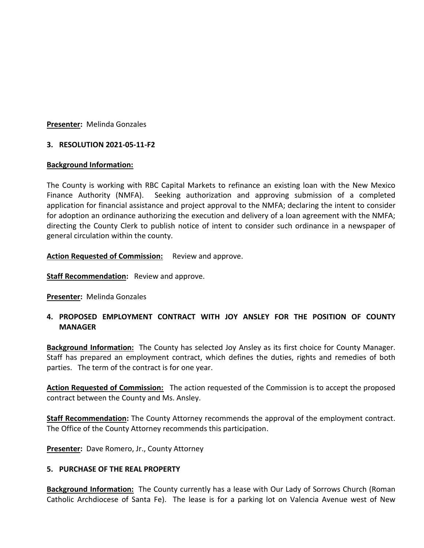#### **Presenter:** Melinda Gonzales

#### **3. RESOLUTION 2021-05-11-F2**

#### **Background Information:**

The County is working with RBC Capital Markets to refinance an existing loan with the New Mexico Finance Authority (NMFA). Seeking authorization and approving submission of a completed application for financial assistance and project approval to the NMFA; declaring the intent to consider for adoption an ordinance authorizing the execution and delivery of a loan agreement with the NMFA; directing the County Clerk to publish notice of intent to consider such ordinance in a newspaper of general circulation within the county.

**Action Requested of Commission:** Review and approve.

**Staff Recommendation:** Review and approve.

**Presenter:** Melinda Gonzales

### **4. PROPOSED EMPLOYMENT CONTRACT WITH JOY ANSLEY FOR THE POSITION OF COUNTY MANAGER**

**Background Information:** The County has selected Joy Ansley as its first choice for County Manager. Staff has prepared an employment contract, which defines the duties, rights and remedies of both parties. The term of the contract is for one year.

**Action Requested of Commission:** The action requested of the Commission is to accept the proposed contract between the County and Ms. Ansley.

**Staff Recommendation:** The County Attorney recommends the approval of the employment contract. The Office of the County Attorney recommends this participation.

**Presenter:** Dave Romero, Jr., County Attorney

#### **5. PURCHASE OF THE REAL PROPERTY**

**Background Information:** The County currently has a lease with Our Lady of Sorrows Church (Roman Catholic Archdiocese of Santa Fe). The lease is for a parking lot on Valencia Avenue west of New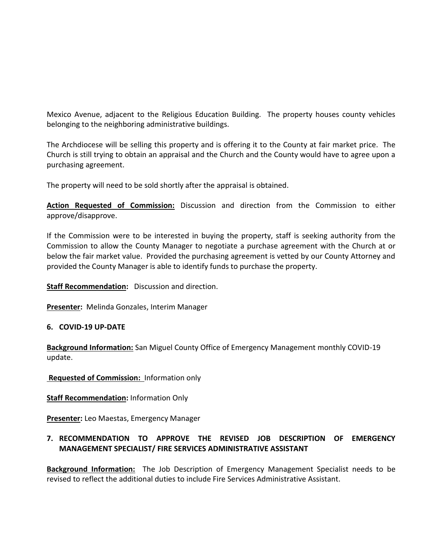Mexico Avenue, adjacent to the Religious Education Building. The property houses county vehicles belonging to the neighboring administrative buildings.

The Archdiocese will be selling this property and is offering it to the County at fair market price. The Church is still trying to obtain an appraisal and the Church and the County would have to agree upon a purchasing agreement.

The property will need to be sold shortly after the appraisal is obtained.

**Action Requested of Commission:** Discussion and direction from the Commission to either approve/disapprove.

If the Commission were to be interested in buying the property, staff is seeking authority from the Commission to allow the County Manager to negotiate a purchase agreement with the Church at or below the fair market value. Provided the purchasing agreement is vetted by our County Attorney and provided the County Manager is able to identify funds to purchase the property.

**Staff Recommendation:** Discussion and direction.

**Presenter:** Melinda Gonzales, Interim Manager

#### **6. COVID-19 UP-DATE**

**Background Information:** San Miguel County Office of Emergency Management monthly COVID-19 update.

**Requested of Commission:** Information only

**Staff Recommendation:** Information Only

**Presenter:** Leo Maestas, Emergency Manager

# **7. RECOMMENDATION TO APPROVE THE REVISED JOB DESCRIPTION OF EMERGENCY MANAGEMENT SPECIALIST/ FIRE SERVICES ADMINISTRATIVE ASSISTANT**

**Background Information:** The Job Description of Emergency Management Specialist needs to be revised to reflect the additional duties to include Fire Services Administrative Assistant.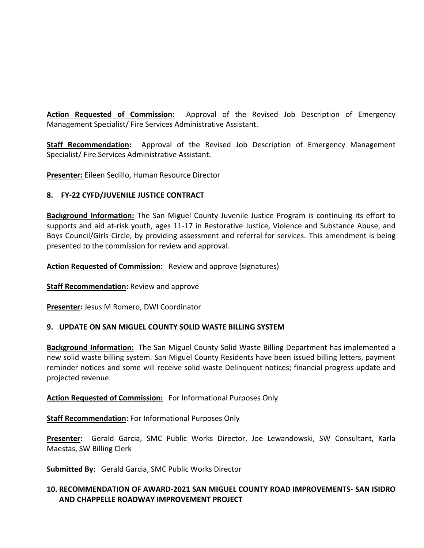**Action Requested of Commission:** Approval of the Revised Job Description of Emergency Management Specialist/ Fire Services Administrative Assistant.

**Staff Recommendation:** Approval of the Revised Job Description of Emergency Management Specialist/ Fire Services Administrative Assistant.

**Presenter:** Eileen Sedillo, Human Resource Director

### **8. FY-22 CYFD/JUVENILE JUSTICE CONTRACT**

**Background Information:** The San Miguel County Juvenile Justice Program is continuing its effort to supports and aid at-risk youth, ages 11-17 in Restorative Justice, Violence and Substance Abuse, and Boys Council/Girls Circle, by providing assessment and referral for services. This amendment is being presented to the commission for review and approval.

**Action Requested of Commission:** Review and approve (signatures)

**Staff Recommendation:** Review and approve

**Presenter:** Jesus M Romero, DWI Coordinator

#### **9. UPDATE ON SAN MIGUEL COUNTY SOLID WASTE BILLING SYSTEM**

**Background Information:** The San Miguel County Solid Waste Billing Department has implemented a new solid waste billing system. San Miguel County Residents have been issued billing letters, payment reminder notices and some will receive solid waste Delinquent notices; financial progress update and projected revenue.

**Action Requested of Commission:** For Informational Purposes Only

**Staff Recommendation:** For Informational Purposes Only

**Presenter:** Gerald Garcia, SMC Public Works Director, Joe Lewandowski, SW Consultant, Karla Maestas, SW Billing Clerk

**Submitted By**: Gerald Garcia, SMC Public Works Director

# **10. RECOMMENDATION OF AWARD-2021 SAN MIGUEL COUNTY ROAD IMPROVEMENTS- SAN ISIDRO AND CHAPPELLE ROADWAY IMPROVEMENT PROJECT**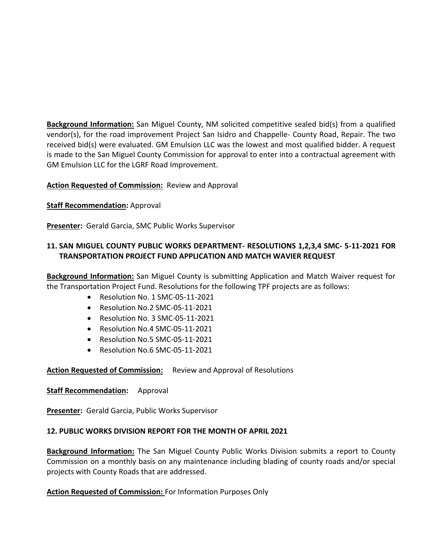**Background Information:** San Miguel County, NM solicited competitive sealed bid(s) from a qualified vendor(s), for the road improvement Project San Isidro and Chappelle- County Road, Repair. The two received bid(s) were evaluated. GM Emulsion LLC was the lowest and most qualified bidder. A request is made to the San Miguel County Commission for approval to enter into a contractual agreement with GM Emulsion LLC for the LGRF Road Improvement.

### **Action Requested of Commission:** Review and Approval

#### **Staff Recommendation: Approval**

**Presenter:** Gerald Garcia, SMC Public Works Supervisor

# **11. SAN MIGUEL COUNTY PUBLIC WORKS DEPARTMENT- RESOLUTIONS 1,2,3,4 SMC- 5-11-2021 FOR TRANSPORTATION PROJECT FUND APPLICATION AND MATCH WAVIER REQUEST**

**Background Information:** San Miguel County is submitting Application and Match Waiver request for the Transportation Project Fund. Resolutions for the following TPF projects are as follows:

- Resolution No. 1 SMC-05-11-2021
- Resolution No.2 SMC-05-11-2021
- Resolution No. 3 SMC-05-11-2021
- Resolution No.4 SMC-05-11-2021
- Resolution No.5 SMC-05-11-2021
- Resolution No.6 SMC-05-11-2021

#### **Action Requested of Commission:** Review and Approval of Resolutions

#### **Staff Recommendation:** Approval

**Presenter:** Gerald Garcia, Public Works Supervisor

#### **12. PUBLIC WORKS DIVISION REPORT FOR THE MONTH OF APRIL 2021**

**Background Information:** The San Miguel County Public Works Division submits a report to County Commission on a monthly basis on any maintenance including blading of county roads and/or special projects with County Roads that are addressed.

#### **Action Requested of Commission:** For Information Purposes Only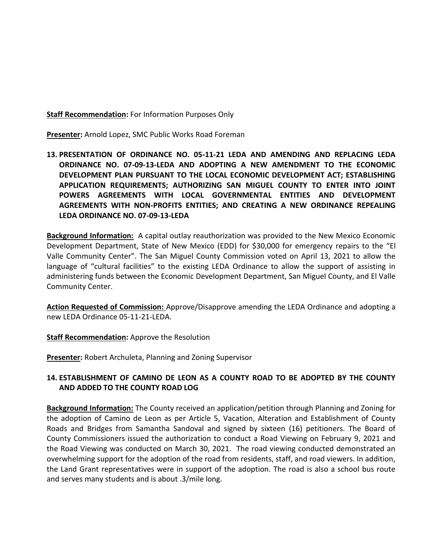**Staff Recommendation:** For Information Purposes Only

**Presenter:** Arnold Lopez, SMC Public Works Road Foreman

**13. PRESENTATION OF ORDINANCE NO. 05-11-21 LEDA AND AMENDING AND REPLACING LEDA ORDINANCE NO. 07-09-13-LEDA AND ADOPTING A NEW AMENDMENT TO THE ECONOMIC DEVELOPMENT PLAN PURSUANT TO THE LOCAL ECONOMIC DEVELOPMENT ACT; ESTABLISHING APPLICATION REQUIREMENTS; AUTHORIZING SAN MIGUEL COUNTY TO ENTER INTO JOINT POWERS AGREEMENTS WITH LOCAL GOVERNMENTAL ENTITIES AND DEVELOPMENT AGREEMENTS WITH NON-PROFITS ENTITIES; AND CREATING A NEW ORDINANCE REPEALING LEDA ORDINANCE NO. 07-09-13-LEDA** 

**Background Information:** A capital outlay reauthorization was provided to the New Mexico Economic Development Department, State of New Mexico (EDD) for \$30,000 for emergency repairs to the "El Valle Community Center". The San Miguel County Commission voted on April 13, 2021 to allow the language of "cultural facilities" to the existing LEDA Ordinance to allow the support of assisting in administering funds between the Economic Development Department, San Miguel County, and El Valle Community Center.

**Action Requested of Commission:** Approve/Disapprove amending the LEDA Ordinance and adopting a new LEDA Ordinance 05-11-21-LEDA.

**Staff Recommendation:** Approve the Resolution

**Presenter:** Robert Archuleta, Planning and Zoning Supervisor

# **14. ESTABLISHMENT OF CAMINO DE LEON AS A COUNTY ROAD TO BE ADOPTED BY THE COUNTY AND ADDED TO THE COUNTY ROAD LOG**

**Background Information:** The County received an application/petition through Planning and Zoning for the adoption of Camino de Leon as per Article 5, Vacation, Alteration and Establishment of County Roads and Bridges from Samantha Sandoval and signed by sixteen (16) petitioners. The Board of County Commissioners issued the authorization to conduct a Road Viewing on February 9, 2021 and the Road Viewing was conducted on March 30, 2021. The road viewing conducted demonstrated an overwhelming support for the adoption of the road from residents, staff, and road viewers. In addition, the Land Grant representatives were in support of the adoption. The road is also a school bus route and serves many students and is about .3/mile long.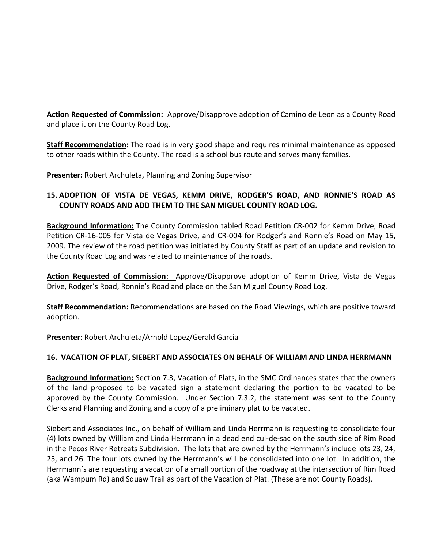**Action Requested of Commission:** Approve/Disapprove adoption of Camino de Leon as a County Road and place it on the County Road Log.

**Staff Recommendation:** The road is in very good shape and requires minimal maintenance as opposed to other roads within the County. The road is a school bus route and serves many families.

**Presenter:** Robert Archuleta, Planning and Zoning Supervisor

# **15. ADOPTION OF VISTA DE VEGAS, KEMM DRIVE, RODGER'S ROAD, AND RONNIE'S ROAD AS COUNTY ROADS AND ADD THEM TO THE SAN MIGUEL COUNTY ROAD LOG.**

**Background Information:** The County Commission tabled Road Petition CR-002 for Kemm Drive, Road Petition CR-16-005 for Vista de Vegas Drive, and CR-004 for Rodger's and Ronnie's Road on May 15, 2009. The review of the road petition was initiated by County Staff as part of an update and revision to the County Road Log and was related to maintenance of the roads.

**Action Requested of Commission**: Approve/Disapprove adoption of Kemm Drive, Vista de Vegas Drive, Rodger's Road, Ronnie's Road and place on the San Miguel County Road Log.

**Staff Recommendation:** Recommendations are based on the Road Viewings, which are positive toward adoption.

**Presenter**: Robert Archuleta/Arnold Lopez/Gerald Garcia

# **16. VACATION OF PLAT, SIEBERT AND ASSOCIATES ON BEHALF OF WILLIAM AND LINDA HERRMANN**

**Background Information:** Section 7.3, Vacation of Plats, in the SMC Ordinances states that the owners of the land proposed to be vacated sign a statement declaring the portion to be vacated to be approved by the County Commission. Under Section 7.3.2, the statement was sent to the County Clerks and Planning and Zoning and a copy of a preliminary plat to be vacated.

Siebert and Associates Inc., on behalf of William and Linda Herrmann is requesting to consolidate four (4) lots owned by William and Linda Herrmann in a dead end cul-de-sac on the south side of Rim Road in the Pecos River Retreats Subdivision. The lots that are owned by the Herrmann's include lots 23, 24, 25, and 26. The four lots owned by the Herrmann's will be consolidated into one lot. In addition, the Herrmann's are requesting a vacation of a small portion of the roadway at the intersection of Rim Road (aka Wampum Rd) and Squaw Trail as part of the Vacation of Plat. (These are not County Roads).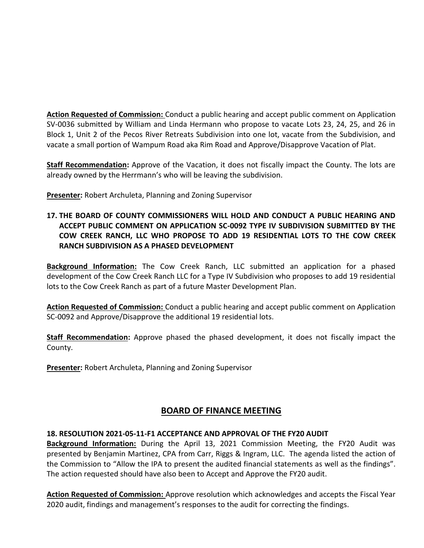**Action Requested of Commission:** Conduct a public hearing and accept public comment on Application SV-0036 submitted by William and Linda Hermann who propose to vacate Lots 23, 24, 25, and 26 in Block 1, Unit 2 of the Pecos River Retreats Subdivision into one lot, vacate from the Subdivision, and vacate a small portion of Wampum Road aka Rim Road and Approve/Disapprove Vacation of Plat.

**Staff Recommendation:** Approve of the Vacation, it does not fiscally impact the County. The lots are already owned by the Herrmann's who will be leaving the subdivision.

**Presenter:** Robert Archuleta, Planning and Zoning Supervisor

# **17. THE BOARD OF COUNTY COMMISSIONERS WILL HOLD AND CONDUCT A PUBLIC HEARING AND ACCEPT PUBLIC COMMENT ON APPLICATION SC-0092 TYPE IV SUBDIVISION SUBMITTED BY THE COW CREEK RANCH, LLC WHO PROPOSE TO ADD 19 RESIDENTIAL LOTS TO THE COW CREEK RANCH SUBDIVISION AS A PHASED DEVELOPMENT**

**Background Information:** The Cow Creek Ranch, LLC submitted an application for a phased development of the Cow Creek Ranch LLC for a Type IV Subdivision who proposes to add 19 residential lots to the Cow Creek Ranch as part of a future Master Development Plan.

**Action Requested of Commission:** Conduct a public hearing and accept public comment on Application SC-0092 and Approve/Disapprove the additional 19 residential lots.

**Staff Recommendation:** Approve phased the phased development, it does not fiscally impact the County.

**Presenter:** Robert Archuleta, Planning and Zoning Supervisor

# **BOARD OF FINANCE MEETING**

#### **18. RESOLUTION 2021-05-11-F1 ACCEPTANCE AND APPROVAL OF THE FY20 AUDIT**

**Background Information:** During the April 13, 2021 Commission Meeting, the FY20 Audit was presented by Benjamin Martinez, CPA from Carr, Riggs & Ingram, LLC. The agenda listed the action of the Commission to "Allow the IPA to present the audited financial statements as well as the findings". The action requested should have also been to Accept and Approve the FY20 audit.

**Action Requested of Commission:** Approve resolution which acknowledges and accepts the Fiscal Year 2020 audit, findings and management's responses to the audit for correcting the findings.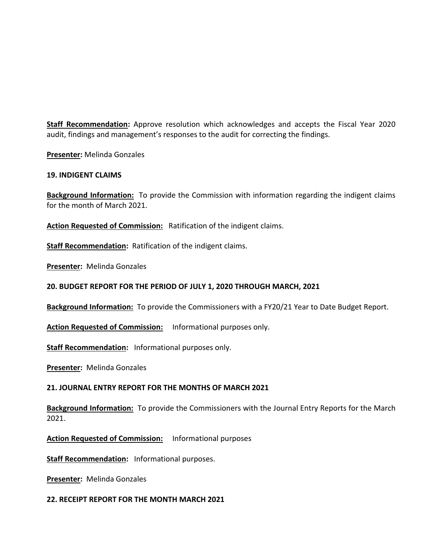**Staff Recommendation:** Approve resolution which acknowledges and accepts the Fiscal Year 2020 audit, findings and management's responses to the audit for correcting the findings.

**Presenter:** Melinda Gonzales

### **19. INDIGENT CLAIMS**

**Background Information:** To provide the Commission with information regarding the indigent claims for the month of March 2021.

**Action Requested of Commission:** Ratification of the indigent claims.

**Staff Recommendation:** Ratification of the indigent claims.

**Presenter:** Melinda Gonzales

# **20. BUDGET REPORT FOR THE PERIOD OF JULY 1, 2020 THROUGH MARCH, 2021**

**Background Information:** To provide the Commissioners with a FY20/21 Year to Date Budget Report.

**Action Requested of Commission:** Informational purposes only.

**Staff Recommendation:** Informational purposes only.

**Presenter:** Melinda Gonzales

# **21. JOURNAL ENTRY REPORT FOR THE MONTHS OF MARCH 2021**

**Background Information:** To provide the Commissioners with the Journal Entry Reports for the March 2021.

**Action Requested of Commission:** Informational purposes

**Staff Recommendation:** Informational purposes.

**Presenter:** Melinda Gonzales

#### **22. RECEIPT REPORT FOR THE MONTH MARCH 2021**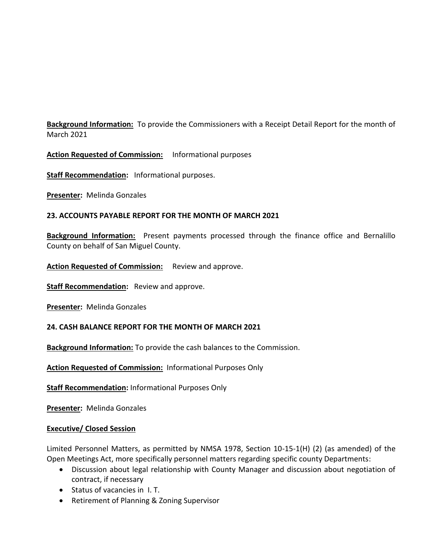**Background Information:** To provide the Commissioners with a Receipt Detail Report for the month of March 2021

**Action Requested of Commission:** Informational purposes

**Staff Recommendation:** Informational purposes.

**Presenter:** Melinda Gonzales

#### **23. ACCOUNTS PAYABLE REPORT FOR THE MONTH OF MARCH 2021**

**Background Information:** Present payments processed through the finance office and Bernalillo County on behalf of San Miguel County.

**Action Requested of Commission:** Review and approve.

**Staff Recommendation:** Review and approve.

**Presenter:** Melinda Gonzales

#### **24. CASH BALANCE REPORT FOR THE MONTH OF MARCH 2021**

**Background Information:** To provide the cash balances to the Commission.

**Action Requested of Commission:** Informational Purposes Only

**Staff Recommendation:** Informational Purposes Only

**Presenter:** Melinda Gonzales

#### **Executive/ Closed Session**

Limited Personnel Matters, as permitted by NMSA 1978, Section 10-15-1(H) (2) (as amended) of the Open Meetings Act, more specifically personnel matters regarding specific county Departments:

- Discussion about legal relationship with County Manager and discussion about negotiation of contract, if necessary
- Status of vacancies in I. T.
- Retirement of Planning & Zoning Supervisor